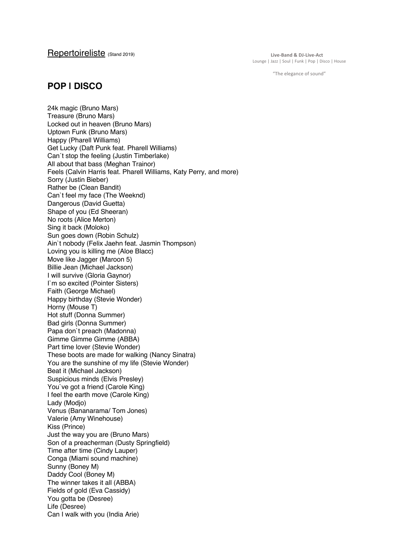Repertoireliste (Stand 2019)

**Live-Band & DJ-Live-Act** Lounge | Jazz | Soul | Funk | Pop | Disco | House

"The elegance of sound"

### **POP | DISCO**

24k magic (Bruno Mars) Treasure (Bruno Mars) Locked out in heaven (Bruno Mars) Uptown Funk (Bruno Mars) Happy (Pharell Williams) Get Lucky (Daft Punk feat. Pharell Williams) Can´t stop the feeling (Justin Timberlake) All about that bass (Meghan Trainor) Feels (Calvin Harris feat. Pharell Williams, Katy Perry, and more) Sorry (Justin Bieber) Rather be (Clean Bandit) Can`t feel my face (The Weeknd) Dangerous (David Guetta) Shape of you (Ed Sheeran) No roots (Alice Merton) Sing it back (Moloko) Sun goes down (Robin Schulz) Ain`t nobody (Felix Jaehn feat. Jasmin Thompson) Loving you is killing me (Aloe Blacc) Move like Jagger (Maroon 5) Billie Jean (Michael Jackson) I will survive (Gloria Gaynor) I`m so excited (Pointer Sisters) Faith (George Michael) Happy birthday (Stevie Wonder) Horny (Mouse T) Hot stuff (Donna Summer) Bad girls (Donna Summer) Papa don`t preach (Madonna) Gimme Gimme Gimme (ABBA) Part time lover (Stevie Wonder) These boots are made for walking (Nancy Sinatra) You are the sunshine of my life (Stevie Wonder) Beat it (Michael Jackson) Suspicious minds (Elvis Presley) You`ve got a friend (Carole King) I feel the earth move (Carole King) Lady (Modjo) Venus (Bananarama/ Tom Jones) Valerie (Amy Winehouse) Kiss (Prince) Just the way you are (Bruno Mars) Son of a preacherman (Dusty Springfield) Time after time (Cindy Lauper) Conga (Miami sound machine) Sunny (Boney M) Daddy Cool (Boney M) The winner takes it all (ABBA) Fields of gold (Eva Cassidy) You gotta be (Desree) Life (Desree) Can I walk with you (India Arie)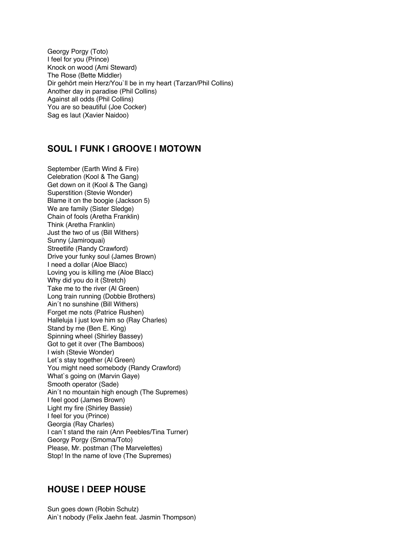Georgy Porgy (Toto) I feel for you (Prince) Knock on wood (Ami Steward) The Rose (Bette Middler) Dir gehört mein Herz/You`ll be in my heart (Tarzan/Phil Collins) Another day in paradise (Phil Collins) Against all odds (Phil Collins) You are so beautiful (Joe Cocker) Sag es laut (Xavier Naidoo)

## **SOUL | FUNK | GROOVE | MOTOWN**

September (Earth Wind & Fire) Celebration (Kool & The Gang) Get down on it (Kool & The Gang) Superstition (Stevie Wonder) Blame it on the boogie (Jackson 5) We are family (Sister Sledge) Chain of fools (Aretha Franklin) Think (Aretha Franklin) Just the two of us (Bill Withers) Sunny (Jamiroquai) Streetlife (Randy Crawford) Drive your funky soul (James Brown) I need a dollar (Aloe Blacc) Loving you is killing me (Aloe Blacc) Why did you do it (Stretch) Take me to the river (Al Green) Long train running (Dobbie Brothers) Ain´t no sunshine (Bill Withers) Forget me nots (Patrice Rushen) Halleluja I just love him so (Ray Charles) Stand by me (Ben E. King) Spinning wheel (Shirley Bassey) Got to get it over (The Bamboos) I wish (Stevie Wonder) Let´s stay together (Al Green) You might need somebody (Randy Crawford) What`s going on (Marvin Gaye) Smooth operator (Sade) Ain´t no mountain high enough (The Supremes) I feel good (James Brown) Light my fire (Shirley Bassie) I feel for you (Prince) Georgia (Ray Charles) I can`t stand the rain (Ann Peebles/Tina Turner) Georgy Porgy (Smoma/Toto) Please, Mr. postman (The Marvelettes) Stop! In the name of love (The Supremes)

#### **HOUSE | DEEP HOUSE**

Sun goes down (Robin Schulz) Ain`t nobody (Felix Jaehn feat. Jasmin Thompson)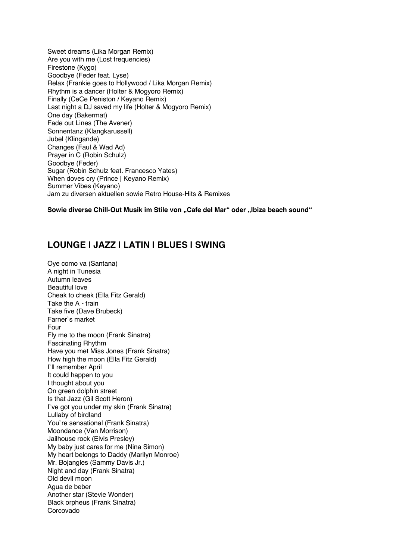Sweet dreams (Lika Morgan Remix) Are you with me (Lost frequencies) Firestone (Kygo) Goodbye (Feder feat. Lyse) Relax (Frankie goes to Hollywood / Lika Morgan Remix) Rhythm is a dancer (Holter & Mogyoro Remix) Finally (CeCe Peniston / Keyano Remix) Last night a DJ saved my life (Holter & Mogyoro Remix) One day (Bakermat) Fade out Lines (The Avener) Sonnentanz (Klangkarussell) Jubel (Klingande) Changes (Faul & Wad Ad) Prayer in C (Robin Schulz) Goodbye (Feder) Sugar (Robin Schulz feat. Francesco Yates) When doves cry (Prince | Keyano Remix) Summer Vibes (Keyano) Jam zu diversen aktuellen sowie Retro House-Hits & Remixes

**Sowie diverse Chill-Out Musik im Stile von "Cafe del Mar" oder "Ibiza beach sound"**

# **LOUNGE | JAZZ | LATIN | BLUES | SWING**

Oye como va (Santana) A night in Tunesia Autumn leaves Beautiful love Cheak to cheak (Ella Fitz Gerald) Take the A - train Take five (Dave Brubeck) Farner`s market Four Fly me to the moon (Frank Sinatra) Fascinating Rhythm Have you met Miss Jones (Frank Sinatra) How high the moon (Ella Fitz Gerald) I`ll remember April It could happen to you I thought about you On green dolphin street Is that Jazz (Gil Scott Heron) I`ve got you under my skin (Frank Sinatra) Lullaby of birdland You`re sensational (Frank Sinatra) Moondance (Van Morrison) Jailhouse rock (Elvis Presley) My baby just cares for me (Nina Simon) My heart belongs to Daddy (Marilyn Monroe) Mr. Bojangles (Sammy Davis Jr.) Night and day (Frank Sinatra) Old devil moon Agua de beber Another star (Stevie Wonder) Black orpheus (Frank Sinatra) Corcovado